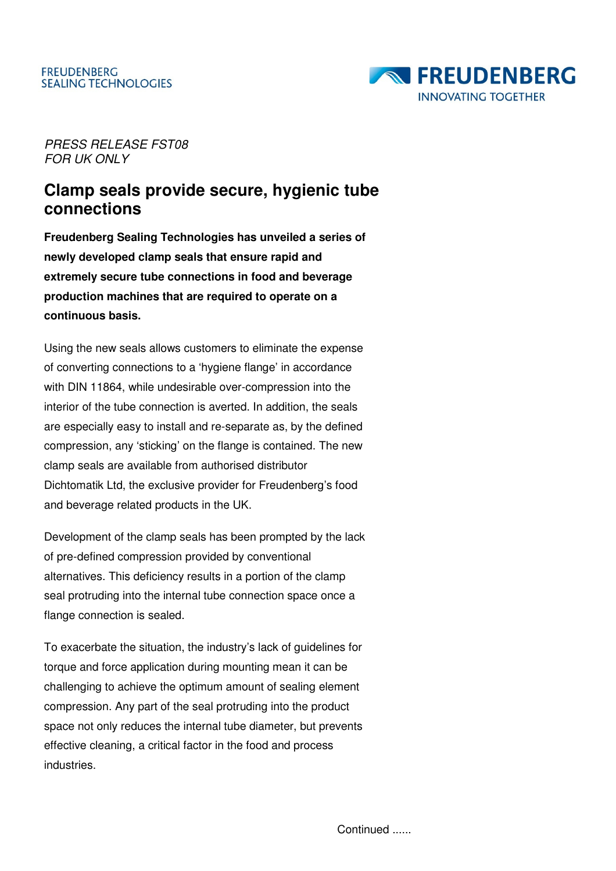

PRESS RELEASE FST08 FOR UK ONLY

## **Clamp seals provide secure, hygienic tube connections**

**Freudenberg Sealing Technologies has unveiled a series of newly developed clamp seals that ensure rapid and extremely secure tube connections in food and beverage production machines that are required to operate on a continuous basis.** 

Using the new seals allows customers to eliminate the expense of converting connections to a 'hygiene flange' in accordance with DIN 11864, while undesirable over-compression into the interior of the tube connection is averted. In addition, the seals are especially easy to install and re-separate as, by the defined compression, any 'sticking' on the flange is contained. The new clamp seals are available from authorised distributor Dichtomatik Ltd, the exclusive provider for Freudenberg's food and beverage related products in the UK.

Development of the clamp seals has been prompted by the lack of pre-defined compression provided by conventional alternatives. This deficiency results in a portion of the clamp seal protruding into the internal tube connection space once a flange connection is sealed.

To exacerbate the situation, the industry's lack of guidelines for torque and force application during mounting mean it can be challenging to achieve the optimum amount of sealing element compression. Any part of the seal protruding into the product space not only reduces the internal tube diameter, but prevents effective cleaning, a critical factor in the food and process industries.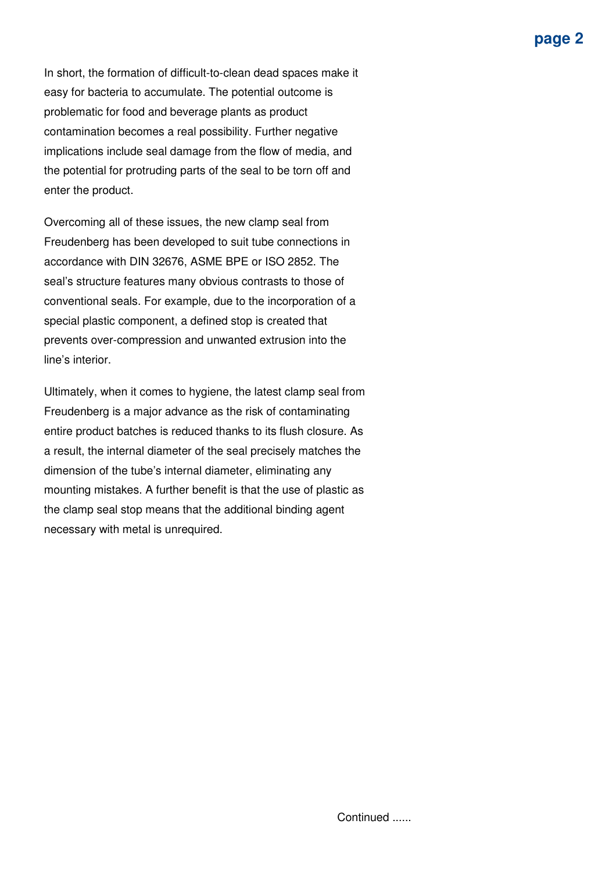In short, the formation of difficult-to-clean dead spaces make it easy for bacteria to accumulate. The potential outcome is problematic for food and beverage plants as product contamination becomes a real possibility. Further negative implications include seal damage from the flow of media, and the potential for protruding parts of the seal to be torn off and enter the product.

Overcoming all of these issues, the new clamp seal from Freudenberg has been developed to suit tube connections in accordance with DIN 32676, ASME BPE or ISO 2852. The seal's structure features many obvious contrasts to those of conventional seals. For example, due to the incorporation of a special plastic component, a defined stop is created that prevents over-compression and unwanted extrusion into the line's interior.

Ultimately, when it comes to hygiene, the latest clamp seal from Freudenberg is a major advance as the risk of contaminating entire product batches is reduced thanks to its flush closure. As a result, the internal diameter of the seal precisely matches the dimension of the tube's internal diameter, eliminating any mounting mistakes. A further benefit is that the use of plastic as the clamp seal stop means that the additional binding agent necessary with metal is unrequired.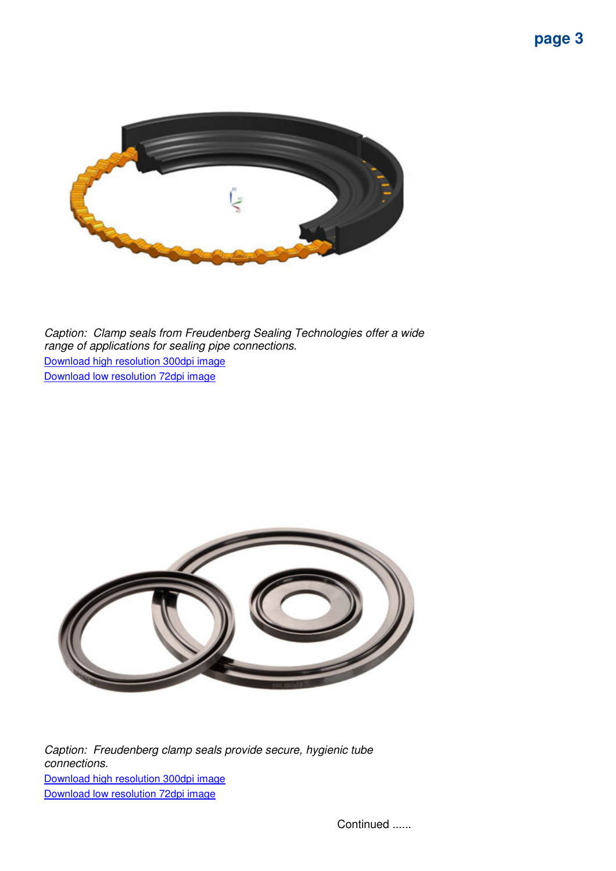

Caption: Clamp seals from Freudenberg Sealing Technologies offer a wide range of applications for sealing pipe connections. Download high resolution 300dpi image Download low resolution 72dpi image



Caption: Freudenberg clamp seals provide secure, hygienic tube connections. Download high resolution 300dpi image Download low resolution 72dpi image

Continued ......